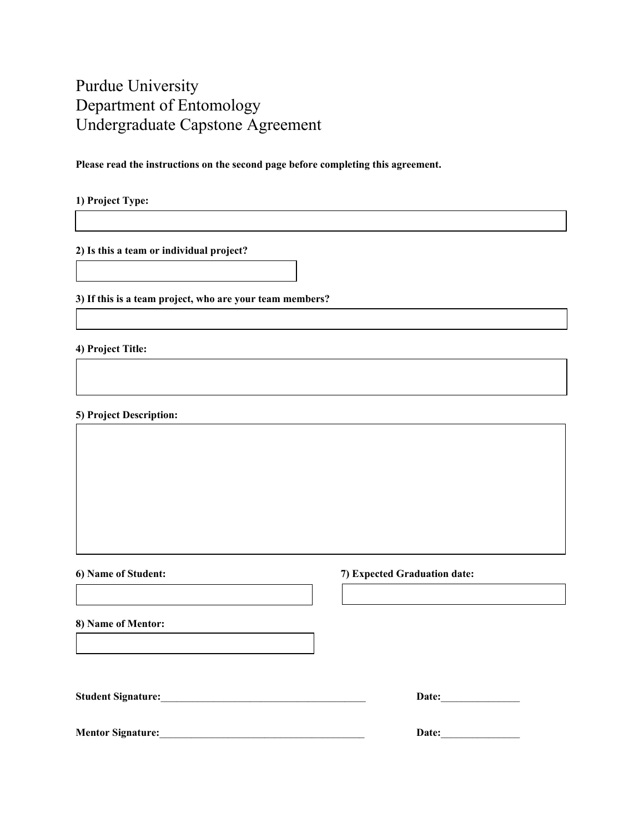## Purdue University Department of Entomology Undergraduate Capstone Agreement

**Please read the instructions on the second page before completing this agreement.** 

**1) Project Type:**

**2) Is this a team or individual project?**

**3) If this is a team project, who are your team members?**

**4) Project Title:**

**5) Project Description:**

**6) Name of Student: 7) Expected Graduation date:** 

**8) Name of Mentor:** 

**Student Signature:**\_\_\_\_\_\_\_\_\_\_\_\_\_\_\_\_\_\_\_\_\_\_\_\_\_\_\_\_\_\_\_\_\_\_\_\_\_\_\_ **Date:**\_\_\_\_\_\_\_\_\_\_\_\_\_\_\_

| <b>Date:</b> |  |  |
|--------------|--|--|
|              |  |  |

**Mentor Signature:** Date: